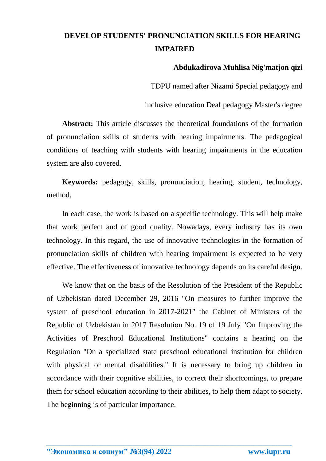## **DEVELOP STUDENTS' PRONUNCIATION SKILLS FOR HEARING IMPAIRED**

## **Abdukadirova Muhlisa Nig'matjon qizi**

TDPU named after Nizami Special pedagogy and

inclusive education Deaf pedagogy Master's degree

**Abstract:** This article discusses the theoretical foundations of the formation of pronunciation skills of students with hearing impairments. The pedagogical conditions of teaching with students with hearing impairments in the education system are also covered.

**Keywords:** pedagogy, skills, pronunciation, hearing, student, technology, method.

In each case, the work is based on a specific technology. This will help make that work perfect and of good quality. Nowadays, every industry has its own technology. In this regard, the use of innovative technologies in the formation of pronunciation skills of children with hearing impairment is expected to be very effective. The effectiveness of innovative technology depends on its careful design.

We know that on the basis of the Resolution of the President of the Republic of Uzbekistan dated December 29, 2016 "On measures to further improve the system of preschool education in 2017-2021" the Cabinet of Ministers of the Republic of Uzbekistan in 2017 Resolution No. 19 of 19 July "On Improving the Activities of Preschool Educational Institutions" contains a hearing on the Regulation "On a specialized state preschool educational institution for children with physical or mental disabilities." It is necessary to bring up children in accordance with their cognitive abilities, to correct their shortcomings, to prepare them for school education according to their abilities, to help them adapt to society. The beginning is of particular importance.

**\_\_\_\_\_\_\_\_\_\_\_\_\_\_\_\_\_\_\_\_\_\_\_\_\_\_\_\_\_\_\_\_\_\_\_\_\_\_\_\_\_\_\_\_\_\_\_\_\_\_\_\_\_\_\_\_\_\_\_\_\_\_\_\_**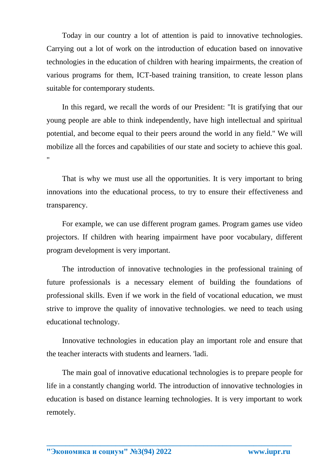Today in our country a lot of attention is paid to innovative technologies. Carrying out a lot of work on the introduction of education based on innovative technologies in the education of children with hearing impairments, the creation of various programs for them, ICT-based training transition, to create lesson plans suitable for contemporary students.

In this regard, we recall the words of our President: "It is gratifying that our young people are able to think independently, have high intellectual and spiritual potential, and become equal to their peers around the world in any field." We will mobilize all the forces and capabilities of our state and society to achieve this goal. "

That is why we must use all the opportunities. It is very important to bring innovations into the educational process, to try to ensure their effectiveness and transparency.

For example, we can use different program games. Program games use video projectors. If children with hearing impairment have poor vocabulary, different program development is very important.

The introduction of innovative technologies in the professional training of future professionals is a necessary element of building the foundations of professional skills. Even if we work in the field of vocational education, we must strive to improve the quality of innovative technologies. we need to teach using educational technology.

Innovative technologies in education play an important role and ensure that the teacher interacts with students and learners. 'ladi.

The main goal of innovative educational technologies is to prepare people for life in a constantly changing world. The introduction of innovative technologies in education is based on distance learning technologies. It is very important to work remotely.

**\_\_\_\_\_\_\_\_\_\_\_\_\_\_\_\_\_\_\_\_\_\_\_\_\_\_\_\_\_\_\_\_\_\_\_\_\_\_\_\_\_\_\_\_\_\_\_\_\_\_\_\_\_\_\_\_\_\_\_\_\_\_\_\_**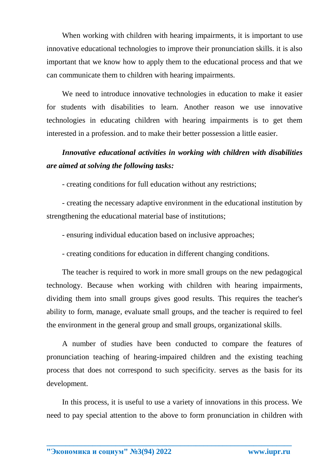When working with children with hearing impairments, it is important to use innovative educational technologies to improve their pronunciation skills. it is also important that we know how to apply them to the educational process and that we can communicate them to children with hearing impairments.

We need to introduce innovative technologies in education to make it easier for students with disabilities to learn. Another reason we use innovative technologies in educating children with hearing impairments is to get them interested in a profession. and to make their better possession a little easier.

## *Innovative educational activities in working with children with disabilities are aimed at solving the following tasks:*

- creating conditions for full education without any restrictions;

- creating the necessary adaptive environment in the educational institution by strengthening the educational material base of institutions;

- ensuring individual education based on inclusive approaches;

- creating conditions for education in different changing conditions.

The teacher is required to work in more small groups on the new pedagogical technology. Because when working with children with hearing impairments, dividing them into small groups gives good results. This requires the teacher's ability to form, manage, evaluate small groups, and the teacher is required to feel the environment in the general group and small groups, organizational skills.

A number of studies have been conducted to compare the features of pronunciation teaching of hearing-impaired children and the existing teaching process that does not correspond to such specificity. serves as the basis for its development.

In this process, it is useful to use a variety of innovations in this process. We need to pay special attention to the above to form pronunciation in children with

**\_\_\_\_\_\_\_\_\_\_\_\_\_\_\_\_\_\_\_\_\_\_\_\_\_\_\_\_\_\_\_\_\_\_\_\_\_\_\_\_\_\_\_\_\_\_\_\_\_\_\_\_\_\_\_\_\_\_\_\_\_\_\_\_**